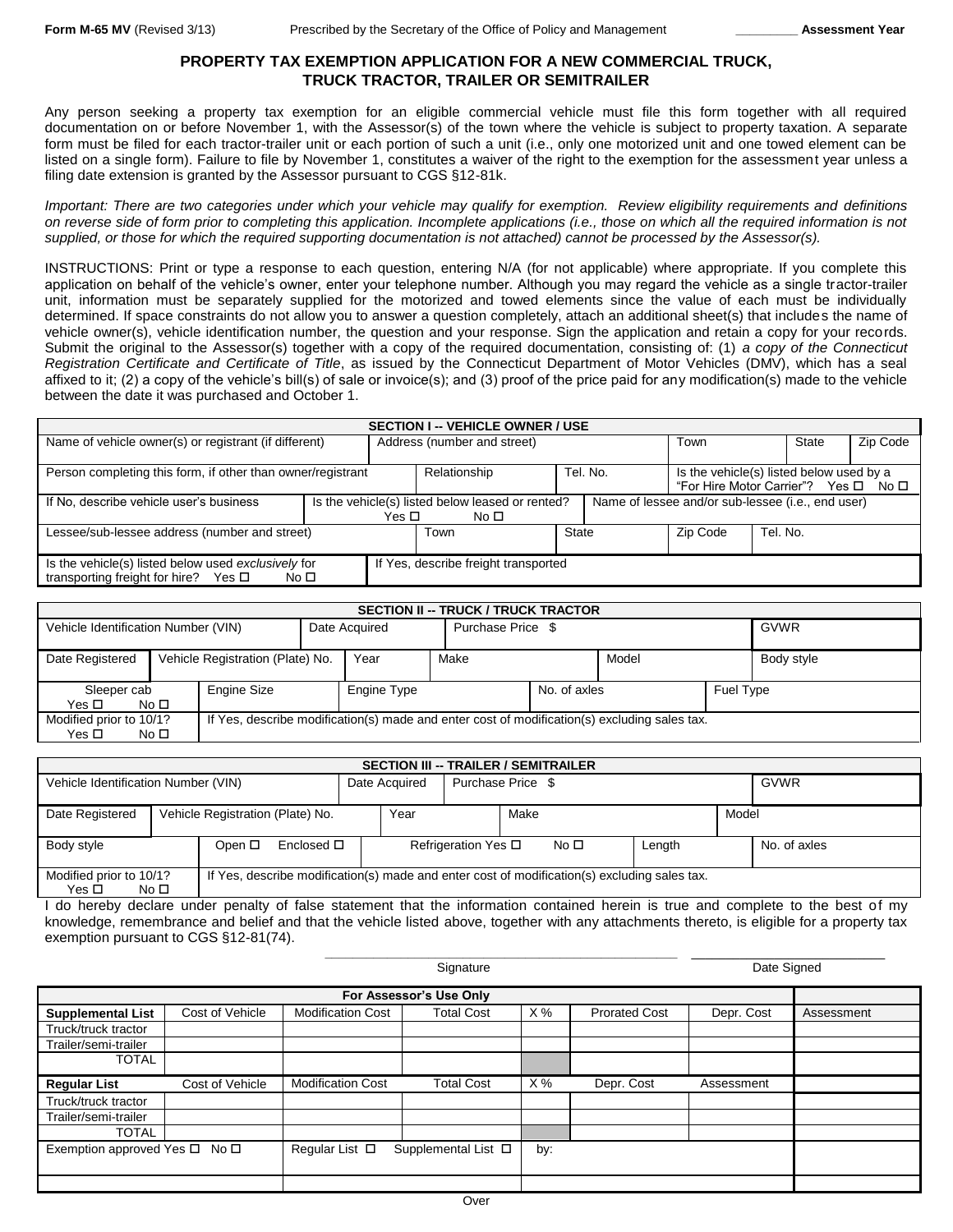### **PROPERTY TAX EXEMPTION APPLICATION FOR A NEW COMMERCIAL TRUCK, TRUCK TRACTOR, TRAILER OR SEMITRAILER**

Any person seeking a property tax exemption for an eligible commercial vehicle must file this form together with all required documentation on or before November 1, with the Assessor(s) of the town where the vehicle is subject to property taxation. A separate form must be filed for each tractor-trailer unit or each portion of such a unit (i.e., only one motorized unit and one towed element can be listed on a single form). Failure to file by November 1, constitutes a waiver of the right to the exemption for the assessment year unless a filing date extension is granted by the Assessor pursuant to CGS §12-81k.

*Important: There are two categories under which your vehicle may qualify for exemption. Review eligibility requirements and definitions on reverse side of form prior to completing this application. Incomplete applications (i.e., those on which all the required information is not supplied, or those for which the required supporting documentation is not attached) cannot be processed by the Assessor(s).*

INSTRUCTIONS: Print or type a response to each question, entering N/A (for not applicable) where appropriate. If you complete this application on behalf of the vehicle's owner, enter your telephone number. Although you may regard the vehicle as a single tractor-trailer unit, information must be separately supplied for the motorized and towed elements since the value of each must be individually determined. If space constraints do not allow you to answer a question completely, attach an additional sheet(s) that includes the name of vehicle owner(s), vehicle identification number, the question and your response. Sign the application and retain a copy for your records. Submit the original to the Assessor(s) together with a copy of the required documentation, consisting of: (1) *a copy of the Connecticut Registration Certificate and Certificate of Title*, as issued by the Connecticut Department of Motor Vehicles (DMV), which has a seal affixed to it; (2) a copy of the vehicle's bill(s) of sale or invoice(s); and (3) proof of the price paid for any modification(s) made to the vehicle between the date it was purchased and October 1.

| <b>SECTION I -- VEHICLE OWNER / USE</b>                     |                             |                                                  |              |                                          |                                                   |          |  |  |  |  |
|-------------------------------------------------------------|-----------------------------|--------------------------------------------------|--------------|------------------------------------------|---------------------------------------------------|----------|--|--|--|--|
| Name of vehicle owner(s) or registrant (if different)       | Address (number and street) | Town                                             |              | State                                    | Zip Code                                          |          |  |  |  |  |
|                                                             |                             |                                                  |              |                                          |                                                   |          |  |  |  |  |
| Person completing this form, if other than owner/registrant |                             | Tel. No.<br>Relationship                         |              | Is the vehicle(s) listed below used by a |                                                   |          |  |  |  |  |
|                                                             |                             |                                                  |              |                                          | "For Hire Motor Carrier"? Yes □ No □              |          |  |  |  |  |
| If No. describe vehicle user's business                     |                             | Is the vehicle(s) listed below leased or rented? |              |                                          | Name of lessee and/or sub-lessee (i.e., end user) |          |  |  |  |  |
|                                                             | Yes □                       | No □                                             |              |                                          |                                                   |          |  |  |  |  |
| Lessee/sub-lessee address (number and street)               |                             | Town                                             | <b>State</b> |                                          | Zip Code                                          | Tel. No. |  |  |  |  |
|                                                             |                             |                                                  |              |                                          |                                                   |          |  |  |  |  |
| Is the vehicle(s) listed below used exclusively for         |                             | If Yes, describe freight transported             |              |                                          |                                                   |          |  |  |  |  |
| transporting freight for hire?<br>Yes □<br>No $\square$     |                             |                                                  |              |                                          |                                                   |          |  |  |  |  |

| <b>SECTION II -- TRUCK / TRUCK TRACTOR</b>                                                                                                       |  |  |               |                                          |  |                   |  |       |  |             |
|--------------------------------------------------------------------------------------------------------------------------------------------------|--|--|---------------|------------------------------------------|--|-------------------|--|-------|--|-------------|
| Vehicle Identification Number (VIN)                                                                                                              |  |  | Date Acquired |                                          |  | Purchase Price \$ |  |       |  | <b>GVWR</b> |
| Date Registered<br>Vehicle Registration (Plate) No.                                                                                              |  |  |               | Year                                     |  | Make              |  | Model |  | Body style  |
| Engine Size<br>Sleeper cab<br>Yes □<br>No <sub>1</sub>                                                                                           |  |  |               | No. of axles<br>Engine Type<br>Fuel Type |  |                   |  |       |  |             |
| Modified prior to 10/1?<br>If Yes, describe modification(s) made and enter cost of modification(s) excluding sales tax.<br>Yes □<br>No $\square$ |  |  |               |                                          |  |                   |  |       |  |             |

| <b>SECTION III -- TRAILER / SEMITRAILER</b>                                                                                                         |  |        |                    |      |                   |                             |  |              |        |      |              |
|-----------------------------------------------------------------------------------------------------------------------------------------------------|--|--------|--------------------|------|-------------------|-----------------------------|--|--------------|--------|------|--------------|
| Vehicle Identification Number (VIN)                                                                                                                 |  |        | Date Acquired      |      | Purchase Price \$ |                             |  |              |        | GVWR |              |
| Vehicle Registration (Plate) No.<br>Date Registered                                                                                                 |  |        |                    | Year |                   | Make                        |  |              | Model  |      |              |
| Body style                                                                                                                                          |  | Open □ | Enclosed $\square$ |      |                   | Refrigeration Yes $\square$ |  | No $\square$ | Length |      | No. of axles |
| Modified prior to 10/1?<br>If Yes, describe modification(s) made and enter cost of modification(s) excluding sales tax.<br>No <sub>1</sub><br>Yes □ |  |        |                    |      |                   |                             |  |              |        |      |              |

I do hereby declare under penalty of false statement that the information contained herein is true and complete to the best of my knowledge, remembrance and belief and that the vehicle listed above, together with any attachments thereto, is eligible for a property tax exemption pursuant to CGS §12-81(74).

**\_\_\_\_\_\_\_\_\_\_\_\_\_\_\_\_\_\_\_\_\_\_\_\_\_\_\_\_\_\_\_\_\_\_\_\_\_\_\_\_\_\_\_\_\_\_\_\_\_\_\_** \_\_\_\_\_\_\_\_\_\_\_\_\_\_\_\_\_\_\_\_\_\_\_\_\_\_\_\_

|                          |                 |                          | Signature           | Date Signed |                      |            |            |  |  |  |
|--------------------------|-----------------|--------------------------|---------------------|-------------|----------------------|------------|------------|--|--|--|
| For Assessor's Use Only  |                 |                          |                     |             |                      |            |            |  |  |  |
| <b>Supplemental List</b> | Cost of Vehicle | <b>Modification Cost</b> | <b>Total Cost</b>   | X%          | <b>Prorated Cost</b> | Depr. Cost | Assessment |  |  |  |
| Truck/truck tractor      |                 |                          |                     |             |                      |            |            |  |  |  |
| Trailer/semi-trailer     |                 |                          |                     |             |                      |            |            |  |  |  |
| <b>TOTAL</b>             |                 |                          |                     |             |                      |            |            |  |  |  |
| <b>Regular List</b>      | Cost of Vehicle | <b>Modification Cost</b> | <b>Total Cost</b>   | X%          | Depr. Cost           | Assessment |            |  |  |  |
| Truck/truck tractor      |                 |                          |                     |             |                      |            |            |  |  |  |
| Trailer/semi-trailer     |                 |                          |                     |             |                      |            |            |  |  |  |
| <b>TOTAL</b>             |                 |                          |                     |             |                      |            |            |  |  |  |
| Exemption approved Yes □ | No $\square$    | Regular List $\square$   | Supplemental List □ | by:         |                      |            |            |  |  |  |
|                          |                 |                          |                     |             |                      |            |            |  |  |  |